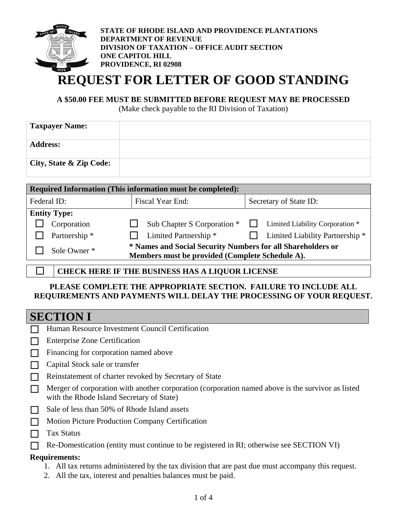

**STATE OF RHODE ISLAND AND PROVIDENCE PLANTATIONS DEPARTMENT OF REVENUE DIVISION OF TAXATION – OFFICE AUDIT SECTION ONE CAPITOL HILL PROVIDENCE, RI 02908**

# **REQUEST FOR LETTER OF GOOD STANDING**

### **A \$50.00 FEE MUST BE SUBMITTED BEFORE REQUEST MAY BE PROCESSED**

(Make check payable to the RI Division of Taxation)

| <b>Taxpayer Name:</b>   |  |
|-------------------------|--|
| <b>Address:</b>         |  |
| City, State & Zip Code: |  |

| Required Information (This information must be completed): |               |                                                                                                                |                                            |  |
|------------------------------------------------------------|---------------|----------------------------------------------------------------------------------------------------------------|--------------------------------------------|--|
|                                                            | Federal ID:   | Fiscal Year End:<br>Secretary of State ID:                                                                     |                                            |  |
| <b>Entity Type:</b>                                        |               |                                                                                                                |                                            |  |
|                                                            | Corporation   | Sub Chapter S Corporation *                                                                                    | Limited Liability Corporation *            |  |
|                                                            | Partnership * | Limited Partnership <sup>*</sup>                                                                               | Limited Liability Partnership <sup>*</sup> |  |
|                                                            | Sole Owner *  | * Names and Social Security Numbers for all Shareholders or<br>Members must be provided (Complete Schedule A). |                                            |  |
|                                                            |               | <b>CHECK HERE IF THE BUSINESS HAS A LIQUOR LICENSE</b>                                                         |                                            |  |

### **PLEASE COMPLETE THE APPROPRIATE SECTION. FAILURE TO INCLUDE ALL REQUIREMENTS AND PAYMENTS WILL DELAY THE PROCESSING OF YOUR REQUEST.**

### **SECTION I**

|        | SECTION I                                                                                                                                                           |
|--------|---------------------------------------------------------------------------------------------------------------------------------------------------------------------|
|        | Human Resource Investment Council Certification                                                                                                                     |
|        | <b>Enterprise Zone Certification</b>                                                                                                                                |
|        | Financing for corporation named above                                                                                                                               |
|        | Capital Stock sale or transfer                                                                                                                                      |
|        | Reinstatement of charter revoked by Secretary of State                                                                                                              |
|        | Merger of corporation with another corporation (corporation named above is the survivor as listed<br>with the Rhode Island Secretary of State)                      |
| $\Box$ | Sale of less than 50% of Rhode Island assets                                                                                                                        |
| П      | <b>Motion Picture Production Company Certification</b>                                                                                                              |
|        | Tax Status                                                                                                                                                          |
|        | Re-Domestication (entity must continue to be registered in RI; otherwise see SECTION VI)                                                                            |
|        | <b>Requirements:</b>                                                                                                                                                |
|        | 1. All tax returns administered by the tax division that are past due must accompany this request.<br>2. All the tax, interest and penalties balances must be paid. |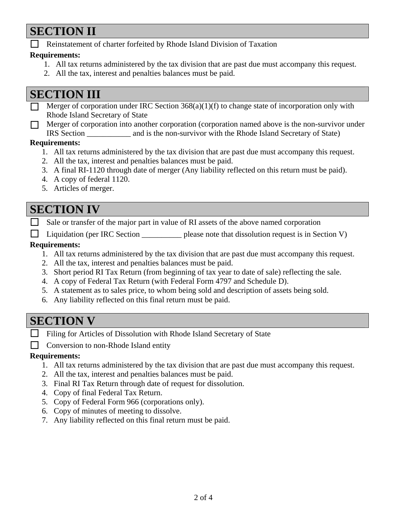# **SECTION II**

Reinstatement of charter forfeited by Rhode Island Division of Taxation

### **Requirements:**

- 1. All tax returns administered by the tax division that are past due must accompany this request.
- 2. All the tax, interest and penalties balances must be paid.

## **SECTION III**

- Merger of corporation under IRC Section  $368(a)(1)(f)$  to change state of incorporation only with Rhode Island Secretary of State
- $\Box$  Merger of corporation into another corporation (corporation named above is the non-survivor under IRS Section \_\_\_\_\_\_\_\_\_\_\_ and is the non-survivor with the Rhode Island Secretary of State)

### **Requirements:**

- 1. All tax returns administered by the tax division that are past due must accompany this request.
- 2. All the tax, interest and penalties balances must be paid.
- 3. A final RI-1120 through date of merger (Any liability reflected on this return must be paid).
- 4. A copy of federal 1120.
- 5. Articles of merger.

## **SECTION IV**

 $\Box$  Sale or transfer of the major part in value of RI assets of the above named corporation

□ Liquidation (per IRC Section <u>section please</u> note that dissolution request is in Section V)

### **Requirements:**

- 1. All tax returns administered by the tax division that are past due must accompany this request.
- 2. All the tax, interest and penalties balances must be paid.
- 3. Short period RI Tax Return (from beginning of tax year to date of sale) reflecting the sale.
- 4. A copy of Federal Tax Return (with Federal Form 4797 and Schedule D).
- 5. A statement as to sales price, to whom being sold and description of assets being sold.
- 6. Any liability reflected on this final return must be paid.

## **SECTION V**

- Filing for Articles of Dissolution with Rhode Island Secretary of State
- Conversion to non-Rhode Island entity

### **Requirements:**

- 1. All tax returns administered by the tax division that are past due must accompany this request.
- 2. All the tax, interest and penalties balances must be paid.
- 3. Final RI Tax Return through date of request for dissolution.
- 4. Copy of final Federal Tax Return.
- 5. Copy of Federal Form 966 (corporations only).
- 6. Copy of minutes of meeting to dissolve.
- 7. Any liability reflected on this final return must be paid.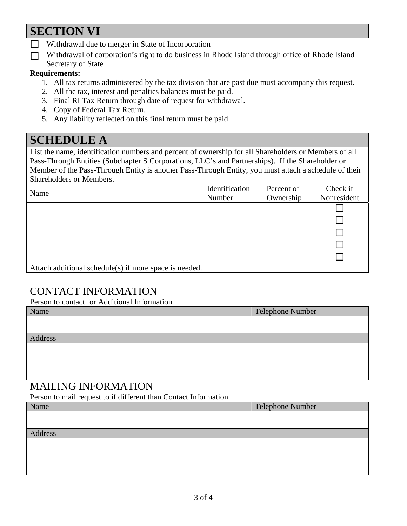# **SECTION VI**

- **N** Withdrawal due to merger in State of Incorporation
- Withdrawal of corporation's right to do business in Rhode Island through office of Rhode Island Secretary of State

### **Requirements:**

- 1. All tax returns administered by the tax division that are past due must accompany this request.
- 2. All the tax, interest and penalties balances must be paid.
- 3. Final RI Tax Return through date of request for withdrawal.
- 4. Copy of Federal Tax Return.
- 5. Any liability reflected on this final return must be paid.

# **SCHEDULE A**

List the name, identification numbers and percent of ownership for all Shareholders or Members of all Pass-Through Entities (Subchapter S Corporations, LLC's and Partnerships). If the Shareholder or Member of the Pass-Through Entity is another Pass-Through Entity, you must attach a schedule of their Shareholders or Members.

| Name                                                   | Identification | Percent of | Check if    |
|--------------------------------------------------------|----------------|------------|-------------|
|                                                        | Number         | Ownership  | Nonresident |
|                                                        |                |            |             |
|                                                        |                |            |             |
|                                                        |                |            |             |
|                                                        |                |            |             |
|                                                        |                |            |             |
| Attach additional schedule(s) if more space is needed. |                |            |             |

### CONTACT INFORMATION

Person to contact for Additional Information

| Name    | Telephone Number |  |
|---------|------------------|--|
|         |                  |  |
|         |                  |  |
| Address |                  |  |
|         |                  |  |
|         |                  |  |
|         |                  |  |
|         |                  |  |

### MAILING INFORMATION

Person to mail request to if different than Contact Information

| Name    | Telephone Number |
|---------|------------------|
|         |                  |
|         |                  |
| Address |                  |
|         |                  |
|         |                  |
|         |                  |
|         |                  |
|         |                  |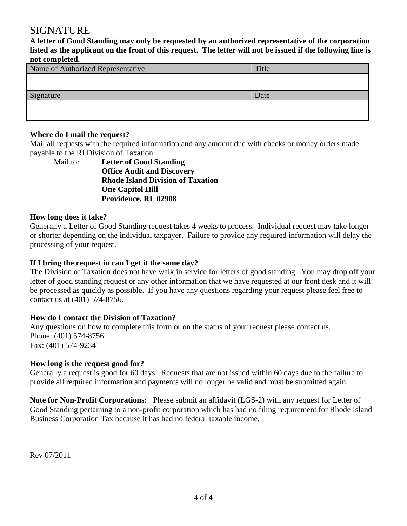### SIGNATURE

**A letter of Good Standing may only be requested by an authorized representative of the corporation listed as the applicant on the front of this request. The letter will not be issued if the following line is not completed.** 

| Title |
|-------|
|       |
|       |
| Date  |
|       |
|       |
|       |

#### **Where do I mail the request?**

Mail all requests with the required information and any amount due with checks or money orders made payable to the RI Division of Taxation.

Mail to: **Letter of Good Standing Office Audit and Discovery Rhode Island Division of Taxation One Capitol Hill Providence, RI 02908** 

#### **How long does it take?**

Generally a Letter of Good Standing request takes 4 weeks to process. Individual request may take longer or shorter depending on the individual taxpayer. Failure to provide any required information will delay the processing of your request.

#### **If I bring the request in can I get it the same day?**

The Division of Taxation does not have walk in service for letters of good standing. You may drop off your letter of good standing request or any other information that we have requested at our front desk and it will be processed as quickly as possible. If you have any questions regarding your request please feel free to contact us at (401) 574-8756.

### **How do I contact the Division of Taxation?**

Any questions on how to complete this form or on the status of your request please contact us. Phone: (401) 574-8756 Fax: (401) 574-9234

### **How long is the request good for?**

Generally a request is good for 60 days. Requests that are not issued within 60 days due to the failure to provide all required information and payments will no longer be valid and must be submitted again.

**Note for Non-Profit Corporations:** Please submit an affidavit (LGS-2) with any request for Letter of Good Standing pertaining to a non-profit corporation which has had no filing requirement for Rhode Island Business Corporation Tax because it has had no federal taxable income.

Rev 07/2011